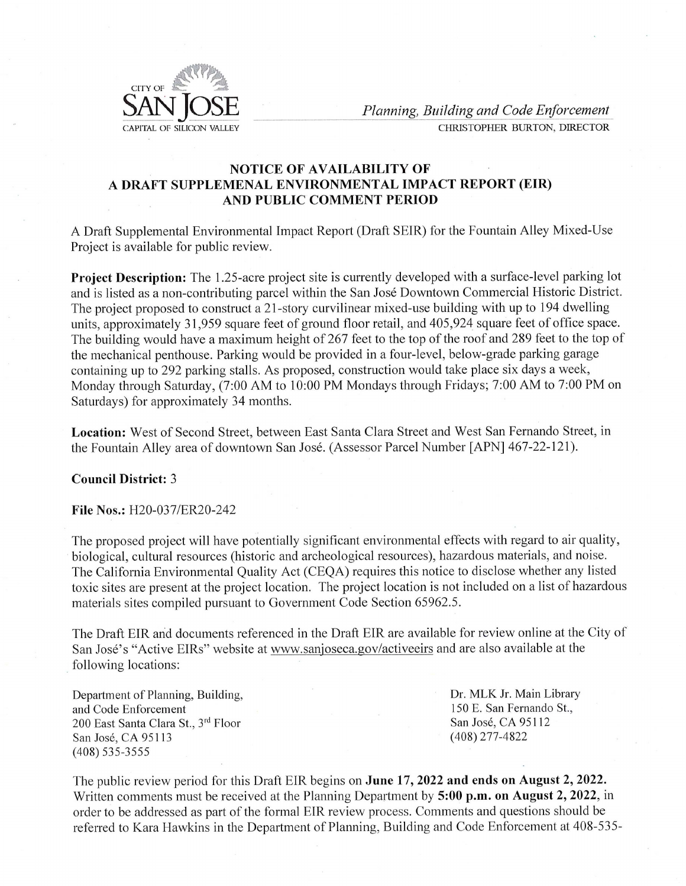

 $\frac{\text{AN}}{\text{max}}$   $\frac{\text{Suiding and Code Enforcement}}{\text{CHRISTOPHER BURTON, DIRECTOR}}$ 

## NOTICE OF AVAILABILITY OF A DRAFT SUPPLEMENAL ENVIRONMENTAL IMPACT REPORT (EIR) AND PUBLIC COMMENT PERIOD

A Draft Supplemental Environmental Impact Report (Draft SEIR) for the Fountain Alley Mixed-Use Project is available for public review.

Project Description: The 1.25-acre project site is currently developed with a surface-level parking lot and is listed as a non-contributing parcel within the San José Downtown Commercial Historic District. The project proposed to construct a 21-story curvilinear mixed-use building with up to 194 dwelling units, approximately 31,959 square feet of ground floor retail, and 405,924 square feet of office space. The building would have a maximum height of 267 feet to the top of the roof and 289 feet to the top of the mechanical penthouse. Parking would be provided in a four-level, below-grade parking garage containing up to 292 parking stalls. As proposed, construction would take place six days a week, Monday through Saturday, (7:00 AM to 10:00 PM Mondays through Fridays; 7:00 AM to 7:00 PM on Saturdays) for approximately 34 months.

Location: West of Second Street, between East Santa Clara Street and West San Fernando Street, in the Fountain Alley area of downtown San José. (Assessor Parcel Number [APN] 467-22-121).

## Council District: 3

## File Nos.: H20-037/ER20-242

The proposed project will have potentially significant environmental effects with regard to air quality, biological, cultural resources (historic and archeological resources), hazardous materials, and noise. The California Environmental Quality Act (CEQA) requires this notice to disclose whether any listed toxic sites are present at the project location. The project location is not included on a list of hazardous materials sites compiled pursuant to Government Code Section 65962.5. tially significan<br>c and archeolog<br>y Act (CEQA)<br>ocation. The pr<br>Government Co<br>nced in the Dra<br>www.sanjoseca

The Draft EIR and documents referenced in the Draft EIR are available for review online at the City of San José's "Active EIRs" website at www.sanjoseca.gov/activeeirs and are also available at the following locations:

Department of Planning, Building, Dr. MLK Jr. Main Library and Code Enforcement 150 E. San Fernando St., 200 East Santa Clara St., 3<sup>rd</sup> Floor San José, CA 95112 San José, CA 95113 (408) 277-4822 (408) 535-3555

mments 1<br>addresse<br>Kara Ha The public review period for this Draft EIR begins on June 17, 2022 and ends on August 2, 2022. Written comments must be received at the Planning Department by 5:00 p.m. on August 2, 2022, in order to be addressed as part of the formal EIR review process. Comments and questions should be referred to Kara Hawkins in the Department of Planning, Building and Code Enforcement at 408-535